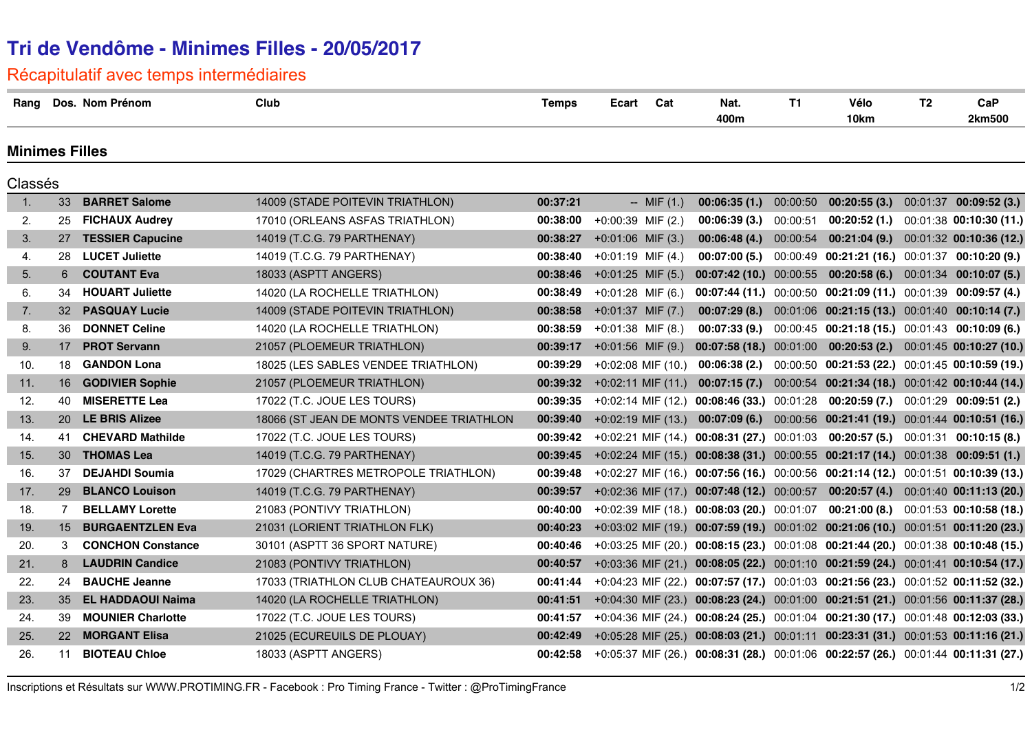# **Tri de Vendôme - Minimes Filles - 20/05/2017**

## Récapitulatif avec temps intermédiaires

| Rang                  |                 | Dos. Nom Prénom          | Club                                     | <b>Temps</b> | Ecart                              | Cat            | Nat.<br>400m                                                                        | <b>T1</b> | Vélo<br>10km                                                         | T <sub>2</sub> | CaP<br>2km500                            |
|-----------------------|-----------------|--------------------------|------------------------------------------|--------------|------------------------------------|----------------|-------------------------------------------------------------------------------------|-----------|----------------------------------------------------------------------|----------------|------------------------------------------|
| <b>Minimes Filles</b> |                 |                          |                                          |              |                                    |                |                                                                                     |           |                                                                      |                |                                          |
| Classés               |                 |                          |                                          |              |                                    |                |                                                                                     |           |                                                                      |                |                                          |
| $\mathbf{1}$ .        | 33              | <b>BARRET Salome</b>     | 14009 (STADE POITEVIN TRIATHLON)         | 00:37:21     |                                    | $-$ MIF $(1.)$ | 00:06:35(1)                                                                         | 00:00:50  | 00:20:55(3)                                                          |                | $00:01:37$ 00:09:52 (3.)                 |
| 2.                    | 25              | <b>FICHAUX Audrey</b>    | 17010 (ORLEANS ASFAS TRIATHLON)          |              | 00:38:00 +0:00:39 MIF (2.)         |                | 00:06:39(3.)                                                                        | 00:00:51  |                                                                      |                | 00:20:52 (1.) 00:01:38 00:10:30 (11.)    |
| 3.                    |                 | 27 TESSIER Capucine      | 14019 (T.C.G. 79 PARTHENAY)              |              | <b>00:38:27</b> + 0:01:06 MIF (3.) |                | 00:06:48(4.)                                                                        | 00:00:54  |                                                                      |                | 00:21:04 (9.) 00:01:32 00:10:36 (12.)    |
| 4.                    | 28              | <b>LUCET Juliette</b>    | 14019 (T.C.G. 79 PARTHENAY)              | 00:38:40     | $+0:01:19$ MIF (4.)                |                | 00:07:00(5.)                                                                        |           | 00:00:49 00:21:21 (16.) 00:01:37 00:10:20 (9.)                       |                |                                          |
| 5.                    | 6               | <b>COUTANT Eva</b>       | 18033 (ASPTT ANGERS)                     | 00:38:46     | $+0:01:25$ MIF (5.)                |                | 00:07:42 (10.) 00:00:55                                                             |           |                                                                      |                | $00:20:58(6.)$ $00:01:34$ $00:10:07(5.)$ |
| 6.                    | 34              | <b>HOUART Juliette</b>   | 14020 (LA ROCHELLE TRIATHLON)            | 00:38:49     | +0:01:28 MIF (6.)                  |                |                                                                                     |           | $00:07:44(11.)$ $00:00:50$ $00:21:09(11.)$ $00:01:39$ $00:09:57(4.)$ |                |                                          |
| 7.                    |                 | 32 PASQUAY Lucie         | 14009 (STADE POITEVIN TRIATHLON)         | 00:38:58     | $+0:01:37$ MIF (7.)                |                | 00:07:29(8.)                                                                        |           | 00:01:06 00:21:15 (13.) 00:01:40 00:10:14 (7.)                       |                |                                          |
| 8.                    | 36              | <b>DONNET Celine</b>     | 14020 (LA ROCHELLE TRIATHLON)            | 00:38:59     | $+0:01:38$ MIF (8.)                |                | 00:07:33(9.)                                                                        |           | 00:00:45 00:21:18 (15.) 00:01:43 00:10:09 (6.)                       |                |                                          |
| 9.                    | 17              | <b>PROT Servann</b>      | 21057 (PLOEMEUR TRIATHLON)               | 00:39:17     | $+0.01:56$ MIF (9.)                |                |                                                                                     |           | 00:07:58 (18.) 00:01:00 00:20:53 (2.) 00:01:45 00:10:27 (10.)        |                |                                          |
| 10.                   | 18              | <b>GANDON Lona</b>       | 18025 (LES SABLES VENDEE TRIATHLON)      | 00:39:29     | +0:02:08 MIF (10.)                 |                | 00:06:38(2.)                                                                        |           | 00:00:50 00:21:53 (22.) 00:01:45 00:10:59 (19.)                      |                |                                          |
| 11.                   |                 | 16 GODIVIER Sophie       | 21057 (PLOEMEUR TRIATHLON)               | 00:39:32     | $+0.02:11$ MIF (11.)               |                | 00:07:15(7.)                                                                        |           | 00:00:54 00:21:34 (18.) 00:01:42 00:10:44 (14.)                      |                |                                          |
| 12.                   | 40              | <b>MISERETTE Lea</b>     | 17022 (T.C. JOUE LES TOURS)              | 00:39:35     | +0:02:14 MIF (12.)                 |                | 00:08:46 (33.) 00:01:28                                                             |           |                                                                      |                | $00:20:59(7.)$ $00:01:29$ $00:09:51(2.)$ |
| 13.                   | <b>20</b>       | <b>LE BRIS Alizee</b>    | 18066 (ST JEAN DE MONTS VENDEE TRIATHLON | 00:39:40     | $+0.02:19$ MIF (13.)               |                |                                                                                     |           | 00:07:09 (6.) 00:00:56 00:21:41 (19.) 00:01:44 00:10:51 (16.)        |                |                                          |
| 14.                   |                 | 41 CHEVARD Mathilde      | 17022 (T.C. JOUE LES TOURS)              | 00:39:42     |                                    |                | +0:02:21 MIF (14.) 00:08:31 (27.) 00:01:03 00:20:57 (5.) 00:01:31 00:10:15 (8.)     |           |                                                                      |                |                                          |
| 15.                   | 30 <sup>°</sup> | <b>THOMAS Lea</b>        | 14019 (T.C.G. 79 PARTHENAY)              | 00:39:45     |                                    |                | +0:02:24 MIF (15.) 00:08:38 (31.) 00:00:55 00:21:17 (14.) 00:01:38 00:09:51 (1.)    |           |                                                                      |                |                                          |
| 16.                   | 37              | <b>DEJAHDI Soumia</b>    | 17029 (CHARTRES METROPOLE TRIATHLON)     | 00:39:48     |                                    |                | $+0.02.27$ MIF (16.) 00:07:56 (16.) 00:00:56 00:21:14 (12.) 00:01:51 00:10:39 (13.) |           |                                                                      |                |                                          |
| 17.                   | 29              | <b>BLANCO Louison</b>    | 14019 (T.C.G. 79 PARTHENAY)              | 00:39:57     |                                    |                | +0:02:36 MIF (17.) 00:07:48 (12.) 00:00:57                                          |           |                                                                      |                | 00:20:57 (4.) 00:01:40 00:11:13 (20.)    |
| 18.                   | 7               | <b>BELLAMY Lorette</b>   | 21083 (PONTIVY TRIATHLON)                | 00:40:00     |                                    |                | +0:02:39 MIF (18.) 00:08:03 (20.) 00:01:07                                          |           |                                                                      |                | 00:21:00 (8.) 00:01:53 00:10:58 (18.)    |
| 19.                   | 15              | <b>BURGAENTZLEN Eva</b>  | 21031 (LORIENT TRIATHLON FLK)            | 00:40:23     |                                    |                | +0:03:02 MIF (19.) 00:07:59 (19.) 00:01:02 00:21:06 (10.) 00:01:51 00:11:20 (23.)   |           |                                                                      |                |                                          |
| 20.                   | 3               | <b>CONCHON Constance</b> | 30101 (ASPTT 36 SPORT NATURE)            | 00:40:46     |                                    |                | +0:03:25 MIF (20.) 00:08:15 (23.) 00:01:08 00:21:44 (20.) 00:01:38 00:10:48 (15.)   |           |                                                                      |                |                                          |
| 21.                   | 8               | <b>LAUDRIN Candice</b>   | 21083 (PONTIVY TRIATHLON)                | 00:40:57     |                                    |                | +0:03:36 MIF (21.) 00:08:05 (22.) 00:01:10 00:21:59 (24.) 00:01:41 00:10:54 (17.)   |           |                                                                      |                |                                          |
| 22.                   | 24              | <b>BAUCHE Jeanne</b>     | 17033 (TRIATHLON CLUB CHATEAUROUX 36)    | 00:41:44     |                                    |                | +0:04:23 MIF (22.) 00:07:57 (17.) 00:01:03 00:21:56 (23.) 00:01:52 00:11:52 (32.)   |           |                                                                      |                |                                          |
| 23.                   | 35              | <b>EL HADDAOUI Naima</b> | 14020 (LA ROCHELLE TRIATHLON)            | 00:41:51     |                                    |                | +0:04:30 MIF (23.) 00:08:23 (24.) 00:01:00 00:21:51 (21.) 00:01:56 00:11:37 (28.)   |           |                                                                      |                |                                          |
| 24.                   | 39              | <b>MOUNIER Charlotte</b> | 17022 (T.C. JOUE LES TOURS)              | 00:41:57     |                                    |                | +0:04:36 MIF (24.) 00:08:24 (25.) 00:01:04 00:21:30 (17.) 00:01:48 00:12:03 (33.)   |           |                                                                      |                |                                          |
| 25.                   |                 | 22 MORGANT Elisa         | 21025 (ECUREUILS DE PLOUAY)              | 00:42:49     |                                    |                | +0:05:28 MIF (25.) 00:08:03 (21.) 00:01:11 00:23:31 (31.) 00:01:53 00:11:16 (21.)   |           |                                                                      |                |                                          |
| 26.                   | 11              | <b>BIOTEAU Chloe</b>     | 18033 (ASPTT ANGERS)                     | 00:42:58     |                                    |                | +0:05:37 MIF (26.) 00:08:31 (28.) 00:01:06 00:22:57 (26.) 00:01:44 00:11:31 (27.)   |           |                                                                      |                |                                          |